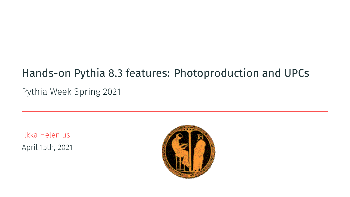# Hands-on Pythia 8.3 features: Photoproduction and UPCs

Pythia Week Spring 2021

Ilkka Helenius April 15th, 2021

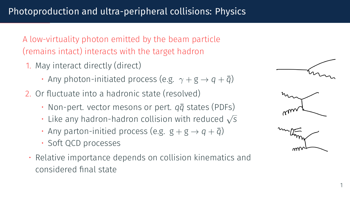A low-virtuality photon emitted by the beam particle (remains intact) interacts with the target hadron

- 1. May interact directly (direct)
	- Anv photon-initiated process (e.g.  $\gamma + g \rightarrow q + \bar{q}$ )
- 2. Or fluctuate into a hadronic state (resolved)
	- Non-pert. vector mesons or pert.  $q\bar{q}$  states (PDFs)
	- Like any hadron-hadron collision with reduced *<sup>√</sup> s*
	- Any parton-initied process (e.g.  $g + g \rightarrow g + \bar{q}$ )
	- Soft QCD processes
	- Relative importance depends on collision kinematics and considered final state

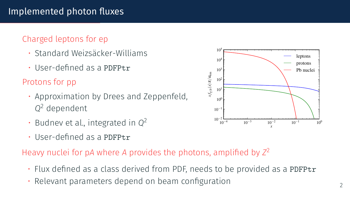# Implemented photon fluxes

### Charged leptons for ep

- Standard Weizsäcker-Williams
- User-defined as a PDFPtr

### Protons for pp

- Approximation by Drees and Zeppenfeld, *Q* <sup>2</sup> dependent
- Budnev et al., integrated in *Q* 2
- User-defined as a PDFPtr

### Heavy nuclei for p*A* where *A* provides the photons, amplified by *Z* 2

- Flux defined as a class derived from PDF, needs to be provided as a PDFPtr
- Relevant parameters depend on beam configuration  $\overline{2}$

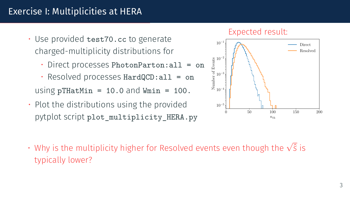# Exercise I: Multiplicities at HERA

- Use provided test70.cc to generate charged-multiplicity distributions for
	- Direct processes PhotonParton:all = on
	- Resolved processes HardQCD:all = on using pTHatMin =  $10.0$  and Wmin =  $100$ .
- Plot the distributions using the provided pytplot script plot\_multiplicity\_HERA.py

#### Expected result:



• Why is the multiplicity higher for Resolved events even though the *<sup>√</sup>* ˆ*s* is typically lower?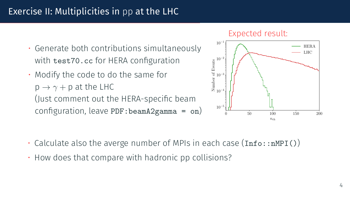# Exercise II: Multiplicities in pp at the LHC

- Generate both contributions simultaneously with test70.cc for HERA configuration
- Modify the code to do the same for  $p \rightarrow \gamma + p$  at the LHC (Just comment out the HERA-specific beam configuration, leave PDF:beamA2gamma = on)

#### Expected result:



- $\cdot$  Calculate also the averge number of MPIs in each case (Info::nMPI())
- How does that compare with hadronic pp collisions?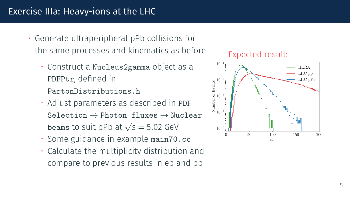### Exercise IIIa: Heavy-ions at the LHC

- Generate ultraperipheral pPb collisions for the same processes and kinematics as before
	- Construct a Nucleus2gamma object as a PDFPtr, defined in

PartonDistributions.h

- Adjust parameters as described in PDF Selection *→* Photon fluxes *→* Nuclear beams to suit pPb at  $\sqrt{s} = 5.02$  GeV
- Some guidance in example main70.cc
- Calculate the multiplicity distribution and compare to previous results in ep and pp

#### Expected result:

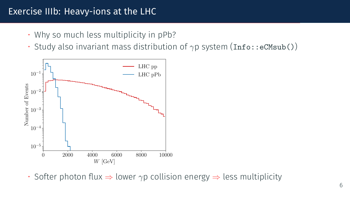### Exercise IIIb: Heavy-ions at the LHC

- Why so much less multiplicity in pPb?
- Study also invariant mass distribution of  $γp$  system (Info::eCMsub())



• Softer photon flux *⇒* lower *γ*p collision energy *⇒* less multiplicity